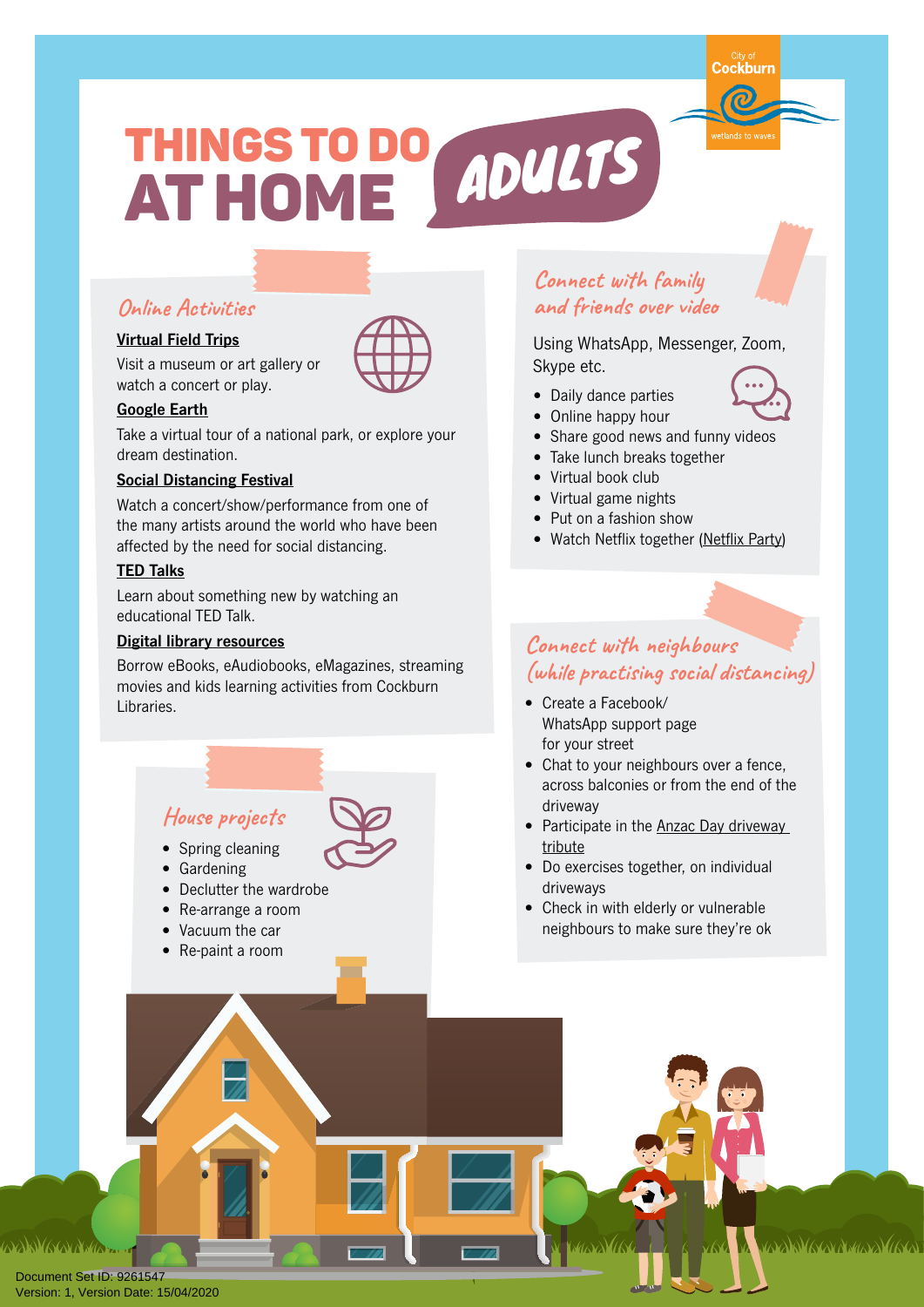# THINGS TO DO ADULTS AT HOME

# **Online Activities**

#### **[Virtual Field Trips](https://edition.cnn.com/style/article/what-to-do-at-home-streaming-art-museums-concerts-coronavirus-trnd/index.html)**

Visit a museum or art gallery or watch a concert or play.

#### **[Google Earth](https://www.google.com/earth/)**

Take a virtual tour of a national park, or explore your dream destination.

#### **[Social Distancing Festival](https://www.socialdistancingfestival.com/)**

Watch a concert/show/performance from one of the many artists around the world who have been affected by the need for social distancing.

#### **[TED Talks](https://www.ted.com/talks)**

Learn about something new by watching an educational TED Talk.

#### **[Digital library resources](https://www.cockburnlibraries.com.au/)**

Borrow eBooks, eAudiobooks, eMagazines, streaming movies and kids learning activities from Cockburn Libraries.

# **Connect with family and friends over video**

Using WhatsApp, Messenger, Zoom, Skype etc.

- Daily dance parties
- Online happy hour
- Share good news and funny videos
- Take lunch breaks together
- Virtual book club
- Virtual game nights
- Put on a fashion show
- Watch Netflix together [\(Netflix](https://www.netflixparty.com/) Party)

### **Connect with neighbours (while practising social distancing)**

- Create a Facebook/ WhatsApp support page for your street
- Chat to your neighbours over a fence, across balconies or from the end of the driveway
- Participate in the [Anzac Day driveway](https://thewest.com.au/news/coronavirus/rsl-queensland-leads-calls-for-driveway-tributes-on-anzac-day-ng-b881493022z)  [tribute](https://thewest.com.au/news/coronavirus/rsl-queensland-leads-calls-for-driveway-tributes-on-anzac-day-ng-b881493022z)
- Do exercises together, on individual driveways
- Check in with elderly or vulnerable neighbours to make sure they're ok

**ANNAAN AMA** 

Document Set ID: 9261547<br>Version: 1, Version Date: 15/04/2020

**House projects**

- Spring cleaning
- Gardening
- Declutter the wardrobe
- Re-arrange a room
- Vacuum the car
- Re-paint a room





vyy Mercine Malas (1919)



Cockburn